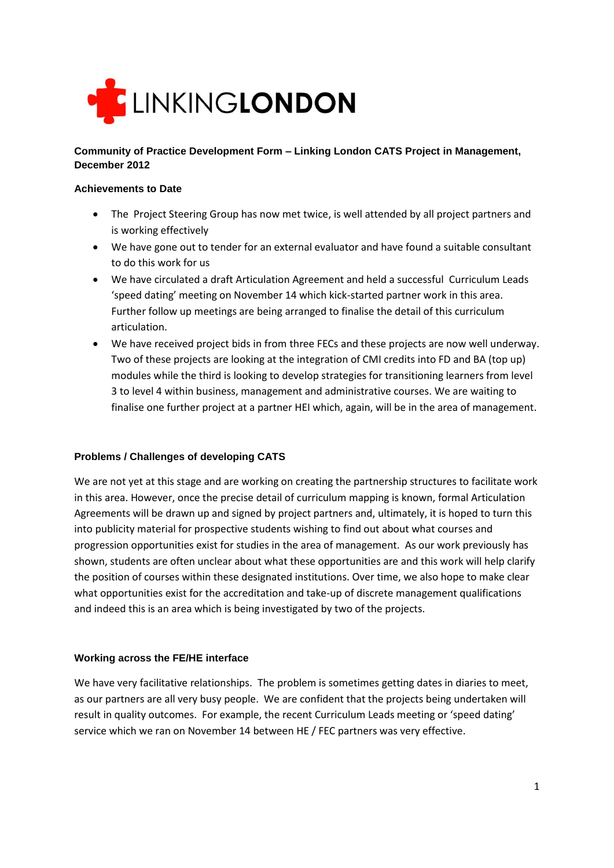

# **Community of Practice Development Form – Linking London CATS Project in Management, December 2012**

## **Achievements to Date**

- The Project Steering Group has now met twice, is well attended by all project partners and is working effectively
- We have gone out to tender for an external evaluator and have found a suitable consultant to do this work for us
- We have circulated a draft Articulation Agreement and held a successful Curriculum Leads 'speed dating' meeting on November 14 which kick-started partner work in this area. Further follow up meetings are being arranged to finalise the detail of this curriculum articulation.
- We have received project bids in from three FECs and these projects are now well underway. Two of these projects are looking at the integration of CMI credits into FD and BA (top up) modules while the third is looking to develop strategies for transitioning learners from level 3 to level 4 within business, management and administrative courses. We are waiting to finalise one further project at a partner HEI which, again, will be in the area of management.

# **Problems / Challenges of developing CATS**

We are not yet at this stage and are working on creating the partnership structures to facilitate work in this area. However, once the precise detail of curriculum mapping is known, formal Articulation Agreements will be drawn up and signed by project partners and, ultimately, it is hoped to turn this into publicity material for prospective students wishing to find out about what courses and progression opportunities exist for studies in the area of management. As our work previously has shown, students are often unclear about what these opportunities are and this work will help clarify the position of courses within these designated institutions. Over time, we also hope to make clear what opportunities exist for the accreditation and take-up of discrete management qualifications and indeed this is an area which is being investigated by two of the projects.

#### **Working across the FE/HE interface**

We have very facilitative relationships. The problem is sometimes getting dates in diaries to meet, as our partners are all very busy people. We are confident that the projects being undertaken will result in quality outcomes. For example, the recent Curriculum Leads meeting or 'speed dating' service which we ran on November 14 between HE / FEC partners was very effective.